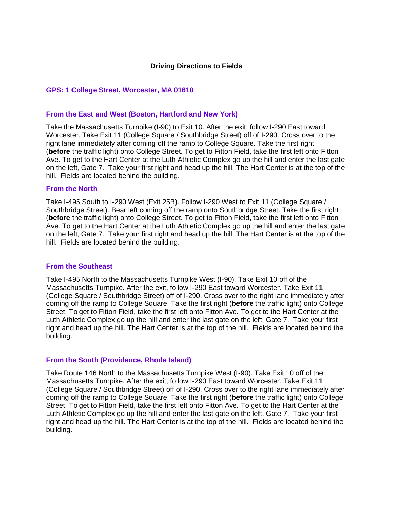# **Driving Directions to Fields**

### **GPS: 1 College Street, Worcester, MA 01610**

#### **From the East and West (Boston, Hartford and New York)**

Take the Massachusetts Turnpike (I-90) to Exit 10. After the exit, follow I-290 East toward Worcester. Take Exit 11 (College Square / Southbridge Street) off of I-290. Cross over to the right lane immediately after coming off the ramp to College Square. Take the first right (**before** the traffic light) onto College Street. To get to Fitton Field, take the first left onto Fitton Ave. To get to the Hart Center at the Luth Athletic Complex go up the hill and enter the last gate on the left, Gate 7. Take your first right and head up the hill. The Hart Center is at the top of the hill. Fields are located behind the building.

#### **From the North**

Take I-495 South to I-290 West (Exit 25B). Follow I-290 West to Exit 11 (College Square / Southbridge Street). Bear left coming off the ramp onto Southbridge Street. Take the first right (**before** the traffic light) onto College Street. To get to Fitton Field, take the first left onto Fitton Ave. To get to the Hart Center at the Luth Athletic Complex go up the hill and enter the last gate on the left, Gate 7. Take your first right and head up the hill. The Hart Center is at the top of the hill. Fields are located behind the building.

### **From the Southeast**

.

Take I-495 North to the Massachusetts Turnpike West (I-90). Take Exit 10 off of the Massachusetts Turnpike. After the exit, follow I-290 East toward Worcester. Take Exit 11 (College Square / Southbridge Street) off of I-290. Cross over to the right lane immediately after coming off the ramp to College Square. Take the first right (**before** the traffic light) onto College Street. To get to Fitton Field, take the first left onto Fitton Ave. To get to the Hart Center at the Luth Athletic Complex go up the hill and enter the last gate on the left, Gate 7. Take your first right and head up the hill. The Hart Center is at the top of the hill. Fields are located behind the building.

#### **From the South (Providence, Rhode Island)**

Take Route 146 North to the Massachusetts Turnpike West (I-90). Take Exit 10 off of the Massachusetts Turnpike. After the exit, follow I-290 East toward Worcester. Take Exit 11 (College Square / Southbridge Street) off of I-290. Cross over to the right lane immediately after coming off the ramp to College Square. Take the first right (**before** the traffic light) onto College Street. To get to Fitton Field, take the first left onto Fitton Ave. To get to the Hart Center at the Luth Athletic Complex go up the hill and enter the last gate on the left, Gate 7. Take your first right and head up the hill. The Hart Center is at the top of the hill. Fields are located behind the building.